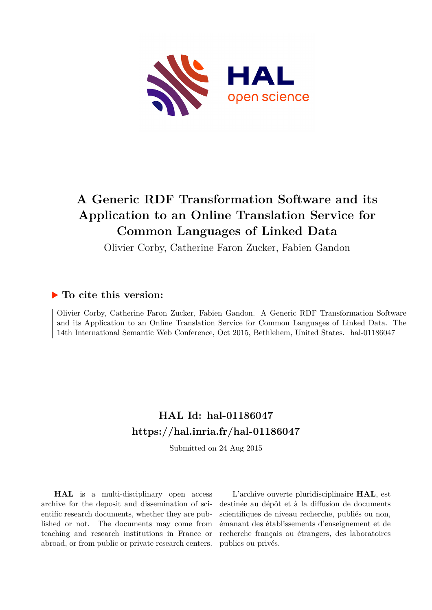

# **A Generic RDF Transformation Software and its Application to an Online Translation Service for Common Languages of Linked Data**

Olivier Corby, Catherine Faron Zucker, Fabien Gandon

# **To cite this version:**

Olivier Corby, Catherine Faron Zucker, Fabien Gandon. A Generic RDF Transformation Software and its Application to an Online Translation Service for Common Languages of Linked Data. The 14th International Semantic Web Conference, Oct 2015, Bethlehem, United States. hal-01186047

# **HAL Id: hal-01186047 <https://hal.inria.fr/hal-01186047>**

Submitted on 24 Aug 2015

**HAL** is a multi-disciplinary open access archive for the deposit and dissemination of scientific research documents, whether they are published or not. The documents may come from teaching and research institutions in France or abroad, or from public or private research centers.

L'archive ouverte pluridisciplinaire **HAL**, est destinée au dépôt et à la diffusion de documents scientifiques de niveau recherche, publiés ou non, émanant des établissements d'enseignement et de recherche français ou étrangers, des laboratoires publics ou privés.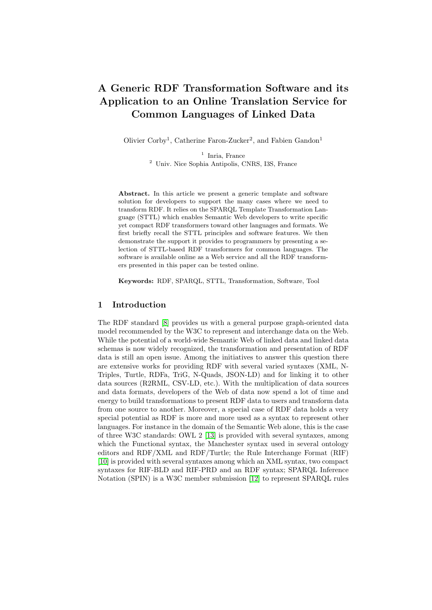# A Generic RDF Transformation Software and its Application to an Online Translation Service for Common Languages of Linked Data

Olivier Corby<sup>1</sup>, Catherine Faron-Zucker<sup>2</sup>, and Fabien Gandon<sup>1</sup>

1 Inria, France <sup>2</sup> Univ. Nice Sophia Antipolis, CNRS, I3S, France

Abstract. In this article we present a generic template and software solution for developers to support the many cases where we need to transform RDF. It relies on the SPARQL Template Transformation Language (STTL) which enables Semantic Web developers to write specific yet compact RDF transformers toward other languages and formats. We first briefly recall the STTL principles and software features. We then demonstrate the support it provides to programmers by presenting a selection of STTL-based RDF transformers for common languages. The software is available online as a Web service and all the RDF transformers presented in this paper can be tested online.

Keywords: RDF, SPARQL, STTL, Transformation, Software, Tool

### 1 Introduction

The RDF standard [8] provides us with a general purpose graph-oriented data model recommended by the W3C to represent and interchange data on the Web. While the potential of a world-wide Semantic Web of linked data and linked data schemas is now widely recognized, the transformation and presentation of RDF data is still an open issue. Among the initiatives to answer this question there are extensive works for providing RDF with several varied syntaxes (XML, N-Triples, Turtle, RDFa, TriG, N-Quads, JSON-LD) and for linking it to other data sources (R2RML, CSV-LD, etc.). With the multiplication of data sources and data formats, developers of the Web of data now spend a lot of time and energy to build transformations to present RDF data to users and transform data from one source to another. Moreover, a special case of RDF data holds a very special potential as RDF is more and more used as a syntax to represent other languages. For instance in the domain of the Semantic Web alone, this is the case of three W3C standards: OWL 2 [13] is provided with several syntaxes, among which the Functional syntax, the Manchester syntax used in several ontology editors and RDF/XML and RDF/Turtle; the Rule Interchange Format (RIF) [10] is provided with several syntaxes among which an XML syntax, two compact syntaxes for RIF-BLD and RIF-PRD and an RDF syntax; SPARQL Inference Notation (SPIN) is a W3C member submission [12] to represent SPARQL rules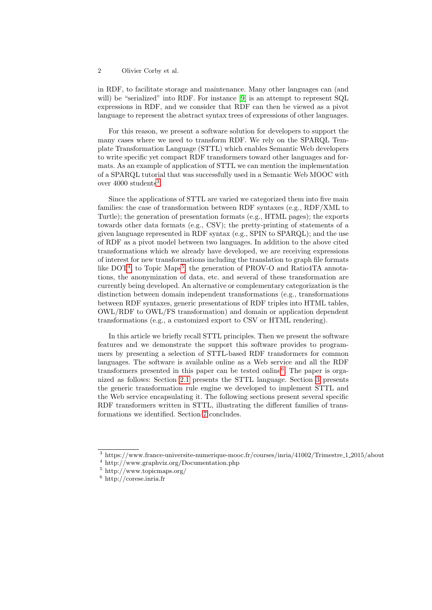in RDF, to facilitate storage and maintenance. Many other languages can (and will) be "serialized" into RDF. For instance [9] is an attempt to represent SQL expressions in RDF, and we consider that RDF can then be viewed as a pivot language to represent the abstract syntax trees of expressions of other languages.

For this reason, we present a software solution for developers to support the many cases where we need to transform RDF. We rely on the SPARQL Template Transformation Language (STTL) which enables Semantic Web developers to write specific yet compact RDF transformers toward other languages and formats. As an example of application of STTL we can mention the implementation of a SPARQL tutorial that was successfully used in a Semantic Web MOOC with over 4000 students<sup>3</sup>.

Since the applications of STTL are varied we categorized them into five main families: the case of transformation between RDF syntaxes (e.g., RDF/XML to Turtle); the generation of presentation formats (e.g., HTML pages); the exports towards other data formats (e.g., CSV); the pretty-printing of statements of a given language represented in RDF syntax (e.g., SPIN to SPARQL); and the use of RDF as a pivot model between two languages. In addition to the above cited transformations which we already have developed, we are receiving expressions of interest for new transformations including the translation to graph file formats like  $\text{DOT}^4$ , to Topic Maps<sup>5</sup>, the generation of PROV-O and Ratio4TA annotations, the anonymization of data, etc. and several of these transformation are currently being developed. An alternative or complementary categorization is the distinction between domain independent transformations (e.g., transformations between RDF syntaxes, generic presentations of RDF triples into HTML tables, OWL/RDF to OWL/FS transformation) and domain or application dependent transformations (e.g., a customized export to CSV or HTML rendering).

In this article we briefly recall STTL principles. Then we present the software features and we demonstrate the support this software provides to programmers by presenting a selection of STTL-based RDF transformers for common languages. The software is available online as a Web service and all the RDF transformers presented in this paper can be tested online6 . The paper is organized as follows: Section 2.1 presents the STTL language. Section 3 presents the generic transformation rule engine we developed to implement STTL and the Web service encapsulating it. The following sections present several specific RDF transformers written in STTL, illustrating the different families of transformations we identified. Section 7 concludes.

 $^3$ https://www.france-universite-numerique-mooc.fr/courses/inria/41002/Trimestre\_1\_2015/about

<sup>4</sup> http://www.graphviz.org/Documentation.php

<sup>5</sup> http://www.topicmaps.org/

 $^6$ http://corese.inria.fr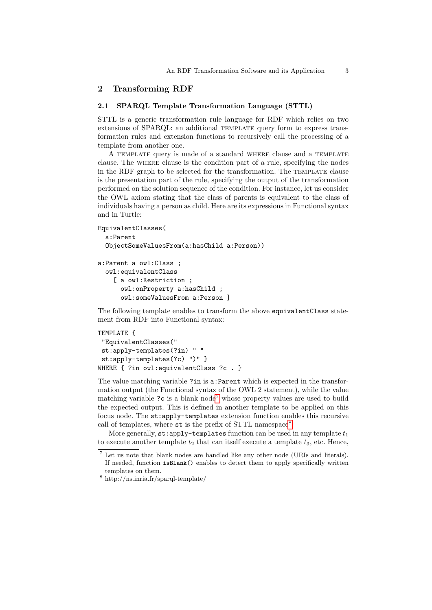## 2 Transforming RDF

#### 2.1 SPARQL Template Transformation Language (STTL)

STTL is a generic transformation rule language for RDF which relies on two extensions of SPARQL: an additional TEMPLATE query form to express transformation rules and extension functions to recursively call the processing of a template from another one.

A template query is made of a standard where clause and a template clause. The where clause is the condition part of a rule, specifying the nodes in the RDF graph to be selected for the transformation. The TEMPLATE clause is the presentation part of the rule, specifying the output of the transformation performed on the solution sequence of the condition. For instance, let us consider the OWL axiom stating that the class of parents is equivalent to the class of individuals having a person as child. Here are its expressions in Functional syntax and in Turtle:

```
EquivalentClasses(
  a:Parent
  ObjectSomeValuesFrom(a:hasChild a:Person))
a:Parent a owl:Class ;
  owl:equivalentClass
    [ a owl:Restriction ;
      owl:onProperty a:hasChild ;
      owl:someValuesFrom a:Person ]
```
The following template enables to transform the above equivalentClass statement from RDF into Functional syntax:

```
TEMPLATE {
"EquivalentClasses("
st:apply-templates(?in) " "
st:apply-templates(?c) ")" }
WHERE { ?in owl:equivalentClass ?c . }
```
The value matching variable ?in is a:Parent which is expected in the transformation output (the Functional syntax of the OWL 2 statement), while the value matching variable  $\infty$  is a blank node<sup>7</sup> whose property values are used to build the expected output. This is defined in another template to be applied on this focus node. The st:apply-templates extension function enables this recursive call of templates, where st is the prefix of STTL namespace<sup>8</sup>.

More generally,  $st:apply-template$  function can be used in any template  $t_1$ to execute another template  $t_2$  that can itself execute a template  $t_3$ , etc. Hence,

<sup>7</sup> Let us note that blank nodes are handled like any other node (URIs and literals). If needed, function isBlank() enables to detect them to apply specifically written templates on them.

 $^8$ http://ns.inria.fr/sparql-template/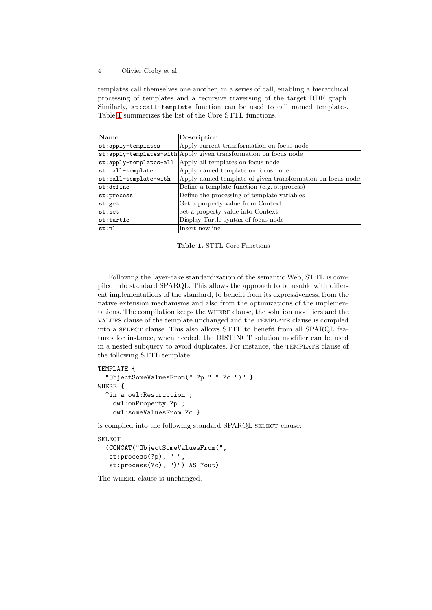templates call themselves one another, in a series of call, enabling a hierarchical processing of templates and a recursive traversing of the target RDF graph. Similarly, st:call-template function can be used to call named templates. Table 1 summerizes the list of the Core STTL functions.

| Name                   | Description                                                      |
|------------------------|------------------------------------------------------------------|
| st:apply-templates     | Apply current transformation on focus node                       |
|                        | st:apply-templates-with Apply given transformation on focus node |
| st:apply-templates-all | Apply all templates on focus node                                |
| st:call-template       | Apply named template on focus node                               |
| st:call-template-with  | Apply named template of given transformation on focus node       |
| $\vert$ st:define      | Define a template function (e.g. st:process)                     |
| st:process             | Define the processing of template variables                      |
| st:get                 | Get a property value from Context                                |
| st:set                 | Set a property value into Context                                |
| st:turtle              | Display Turtle syntax of focus node                              |
| $ \texttt{st:nl} $     | Insert newline                                                   |

Table 1. STTL Core Functions

Following the layer-cake standardization of the semantic Web, STTL is compiled into standard SPARQL. This allows the approach to be usable with different implementations of the standard, to benefit from its expressiveness, from the native extension mechanisms and also from the optimizations of the implementations. The compilation keeps the where clause, the solution modifiers and the values clause of the template unchanged and the template clause is compiled into a SELECT clause. This also allows STTL to benefit from all SPARQL features for instance, when needed, the DISTINCT solution modifier can be used in a nested subquery to avoid duplicates. For instance, the template clause of the following STTL template:

```
TEMPLATE {
  "ObjectSomeValuesFrom(" ?p " " ?c ")" }
WHERE {
  ?in a owl:Restriction ;
   owl:onProperty ?p ;
   owl:someValuesFrom ?c }
```
is compiled into the following standard SPARQL SELECT clause:

```
SELECT
```

```
(CONCAT("ObjectSomeValuesFrom(",
st:process(?p), " ",
st:process(?c), ")") AS ?out)
```
The WHERE clause is unchanged.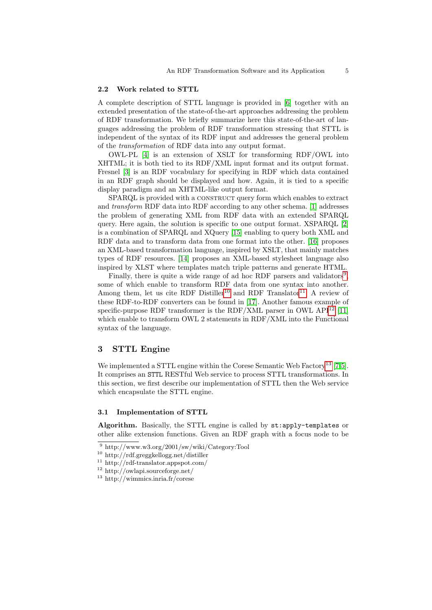#### 2.2 Work related to STTL

A complete description of STTL language is provided in [6] together with an extended presentation of the state-of-the-art approaches addressing the problem of RDF transformation. We briefly summarize here this state-of-the-art of languages addressing the problem of RDF transformation stressing that STTL is independent of the syntax of its RDF input and addresses the general problem of the transformation of RDF data into any output format.

OWL-PL [4] is an extension of XSLT for transforming RDF/OWL into XHTML; it is both tied to its RDF/XML input format and its output format. Fresnel [3] is an RDF vocabulary for specifying in RDF which data contained in an RDF graph should be displayed and how. Again, it is tied to a specific display paradigm and an XHTML-like output format.

SPARQL is provided with a CONSTRUCT query form which enables to extract and transform RDF data into RDF according to any other schema. [1] addresses the problem of generating XML from RDF data with an extended SPARQL query. Here again, the solution is specific to one output format. XSPARQL [2] is a combination of SPARQL and XQuery [15] enabling to query both XML and RDF data and to transform data from one format into the other. [16] proposes an XML-based transformation language, inspired by XSLT, that mainly matches types of RDF resources. [14] proposes an XML-based stylesheet language also inspired by XLST where templates match triple patterns and generate HTML.

Finally, there is quite a wide range of ad hoc RDF parsers and validators<sup>9</sup>, some of which enable to transform RDF data from one syntax into another. Among them, let us cite RDF Distiller<sup>10</sup> and RDF Translator<sup>11</sup>. A review of these RDF-to-RDF converters can be found in [17]. Another famous example of specific-purpose RDF transformer is the RDF/XML parser in OWL API<sup>12</sup> [11] which enable to transform OWL 2 statements in RDF/XML into the Functional syntax of the language.

## 3 STTL Engine

We implemented a STTL engine within the Corese Semantic Web Factory<sup>13</sup> [7,5]. It comprises an STTL RESTful Web service to process STTL transformations. In this section, we first describe our implementation of STTL then the Web service which encapsulate the STTL engine.

#### 3.1 Implementation of STTL

Algorithm. Basically, the STTL engine is called by st:apply-templates or other alike extension functions. Given an RDF graph with a focus node to be

<sup>9</sup> http://www.w3.org/2001/sw/wiki/Category:Tool

<sup>10</sup> http://rdf.greggkellogg.net/distiller

<sup>11</sup> http://rdf-translator.appspot.com/

<sup>12</sup> http://owlapi.sourceforge.net/

 $^{13}$ http://wimmics.inria.fr/corese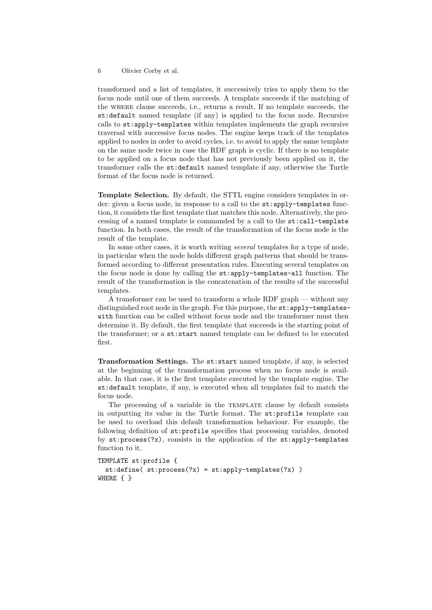transformed and a list of templates, it successively tries to apply them to the focus node until one of them succeeds. A template succeeds if the matching of the where clause succeeds, i.e., returns a result. If no template succeeds, the st:default named template (if any) is applied to the focus node. Recursive calls to st:apply-templates within templates implements the graph recursive traversal with successive focus nodes. The engine keeps track of the templates applied to nodes in order to avoid cycles, i.e. to avoid to apply the same template on the same node twice in case the RDF graph is cyclic. If there is no template to be applied on a focus node that has not previously been applied on it, the transformer calls the st:default named template if any, otherwise the Turtle format of the focus node is returned.

Template Selection. By default, the STTL engine considers templates in order: given a focus node, in response to a call to the st:apply-templates function, it considers the first template that matches this node. Alternatively, the processing of a named template is commanded by a call to the st:call-template function. In both cases, the result of the transformation of the focus node is the result of the template.

In some other cases, it is worth writing several templates for a type of node, in particular when the node holds different graph patterns that should be transformed according to different presentation rules. Executing several templates on the focus node is done by calling the st:apply-templates-all function. The result of the transformation is the concatenation of the results of the successful templates.

A transformer can be used to transform a whole RDF graph — without any distinguished root node in the graph. For this purpose, the st:apply-templateswith function can be called without focus node and the transformer must then determine it. By default, the first template that succeeds is the starting point of the transformer; or a st:start named template can be defined to be executed first.

Transformation Settings. The st:start named template, if any, is selected at the beginning of the transformation process when no focus node is available. In that case, it is the first template executed by the template engine. The st:default template, if any, is executed when all templates fail to match the focus node.

The processing of a variable in the TEMPLATE clause by default consists in outputting its value in the Turtle format. The st:profile template can be used to overload this default transformation behaviour. For example, the following definition of st:profile specifies that processing variables, denoted by  $st:process(?x)$ , consists in the application of the  $st:apply-templates$ function to it.

```
TEMPLATE st:profile {
 st:define( st:process(?x) = st:apply-templates(?x) )
WHERE { }
```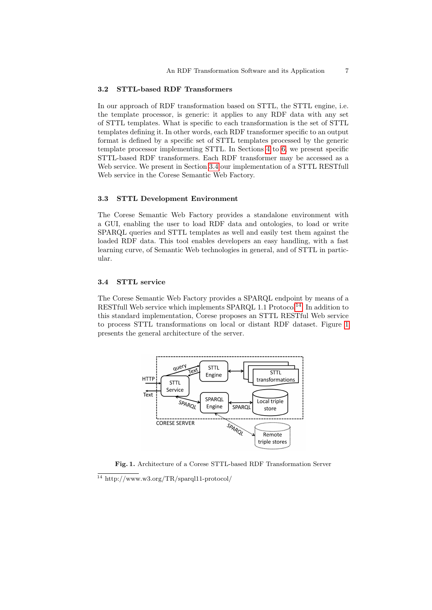#### 3.2 STTL-based RDF Transformers

In our approach of RDF transformation based on STTL, the STTL engine, i.e. the template processor, is generic: it applies to any RDF data with any set of STTL templates. What is specific to each transformation is the set of STTL templates defining it. In other words, each RDF transformer specific to an output format is defined by a specific set of STTL templates processed by the generic template processor implementing STTL. In Sections 4 to 6, we present specific STTL-based RDF transformers. Each RDF transformer may be accessed as a Web service. We present in Section 3.4 our implementation of a STTL RESTfull Web service in the Corese Semantic Web Factory.

#### 3.3 STTL Development Environment

The Corese Semantic Web Factory provides a standalone environment with a GUI, enabling the user to load RDF data and ontologies, to load or write SPARQL queries and STTL templates as well and easily test them against the loaded RDF data. This tool enables developers an easy handling, with a fast learning curve, of Semantic Web technologies in general, and of STTL in particular.

#### 3.4 STTL service

The Corese Semantic Web Factory provides a SPARQL endpoint by means of a RESTfull Web service which implements  $SPARQL$  1.1  $Protocol<sup>14</sup>$ . In addition to this standard implementation, Corese proposes an STTL RESTful Web service to process STTL transformations on local or distant RDF dataset. Figure 1 presents the general architecture of the server.



Fig. 1. Architecture of a Corese STTL-based RDF Transformation Server

<sup>14</sup> http://www.w3.org/TR/sparql11-protocol/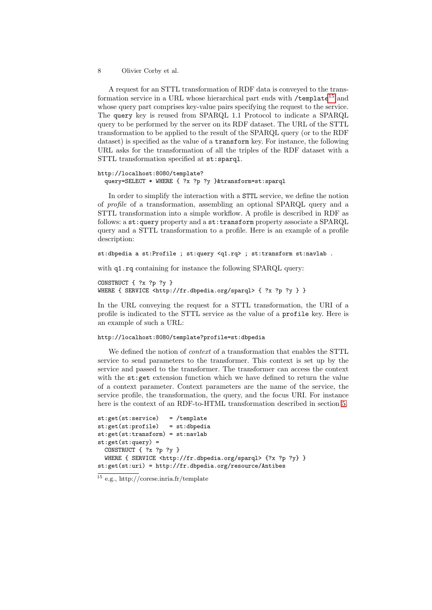A request for an STTL transformation of RDF data is conveyed to the transformation service in a URL whose hierarchical part ends with  $/$ template<sup>15</sup> and whose query part comprises key-value pairs specifying the request to the service. The query key is reused from SPARQL 1.1 Protocol to indicate a SPARQL query to be performed by the server on its RDF dataset. The URL of the STTL transformation to be applied to the result of the SPARQL query (or to the RDF dataset) is specified as the value of a transform key. For instance, the following URL asks for the transformation of all the triples of the RDF dataset with a STTL transformation specified at st:sparql.

#### http://localhost:8080/template? query=SELECT \* WHERE { ?x ?p ?y }&transform=st:sparql

In order to simplify the interaction with a STTL service, we define the notion of profile of a transformation, assembling an optional SPARQL query and a STTL transformation into a simple workflow. A profile is described in RDF as follows: a st:query property and a st:transform property associate a SPARQL query and a STTL transformation to a profile. Here is an example of a profile description:

st:dbpedia a st:Profile ; st:query <q1.rq> ; st:transform st:navlab .

with  $q1.rq$  containing for instance the following SPARQL query:

```
CONSTRUCT { ?x ?p ?v }
WHERE { SERVICE <http://fr.dbpedia.org/sparql> { ?x ?p ?y } }
```
In the URL conveying the request for a STTL transformation, the URI of a profile is indicated to the STTL service as the value of a profile key. Here is an example of such a URL:

#### http://localhost:8080/template?profile=st:dbpedia

We defined the notion of context of a transformation that enables the STTL service to send parameters to the transformer. This context is set up by the service and passed to the transformer. The transformer can access the context with the st:get extension function which we have defined to return the value of a context parameter. Context parameters are the name of the service, the service profile, the transformation, the query, and the focus URI. For instance here is the context of an RDF-to-HTML transformation described in section 5.

```
st:get(st:service) = /template
st:get(st:profile) = st:dbpedia
st:get(st:transform) = st:navlab
st:get(st:query) =
 CONSTRUCT { ?x ?p ?y }
 WHERE { SERVICE <http://fr.dbpedia.org/sparql> {?x ?p ?y} }
st:get(st:uri) = http://fr.dbpedia.org/resource/Antibes
```
<sup>15</sup> e.g., http://corese.inria.fr/template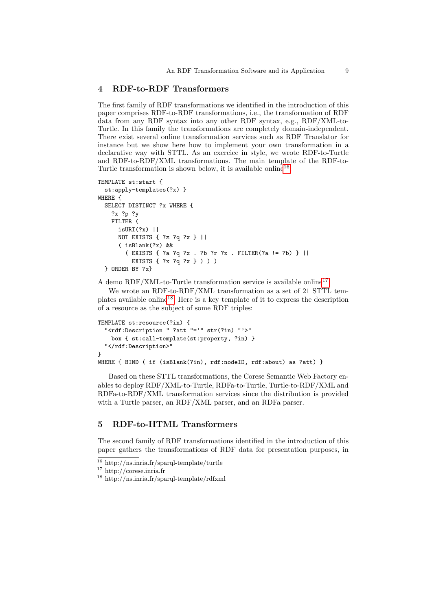# 4 RDF-to-RDF Transformers

The first family of RDF transformations we identified in the introduction of this paper comprises RDF-to-RDF transformations, i.e., the transformation of RDF data from any RDF syntax into any other RDF syntax, e.g., RDF/XML-to-Turtle. In this family the transformations are completely domain-independent. There exist several online transformation services such as RDF Translator for instance but we show here how to implement your own transformation in a declarative way with STTL. As an exercice in style, we wrote RDF-to-Turtle and RDF-to-RDF/XML transformations. The main template of the RDF-to-Turtle transformation is shown below, it is available online<sup>16</sup>:

```
TEMPLATE st:start {
 st:apply-templates(?x) }
WHERE {
 SELECT DISTINCT ?x WHERE {
    ?x ?p ?y
   FILTER (
      isURI(?x) ||
      NOT EXISTS { ?z ?q ?x } ||
      ( isBlank(?x) &&
        ( EXISTS { ?a ?q ?x . ?b ?r ?x . FILTER(?a != ?b) } ||
          EXISTS { ?x ?q ?x } ) ) )
 } ORDER BY ?x}
```
A demo RDF/XML-to-Turtle transformation service is available online<sup>17</sup>.

We wrote an RDF-to-RDF/XML transformation as a set of 21 STTL templates available online18. Here is a key template of it to express the description of a resource as the subject of some RDF triples:

```
TEMPLATE st:resource(?in) {
  "<rdf:Description " ?att "='" str(?in) "'>"
    box { st:call-template(st:property, ?in) }
  "</rdf:Description>"
}
WHERE { BIND ( if (isBlank(?in), rdf:nodeID, rdf:about) as ?att) }
```
Based on these STTL transformations, the Corese Semantic Web Factory enables to deploy RDF/XML-to-Turtle, RDFa-to-Turtle, Turtle-to-RDF/XML and RDFa-to-RDF/XML transformation services since the distribution is provided with a Turtle parser, an RDF/XML parser, and an RDFa parser.

# 5 RDF-to-HTML Transformers

The second family of RDF transformations identified in the introduction of this paper gathers the transformations of RDF data for presentation purposes, in

<sup>16</sup> http://ns.inria.fr/sparql-template/turtle

 $17\,$ http://corese.inria.fr

<sup>18</sup> http://ns.inria.fr/sparql-template/rdfxml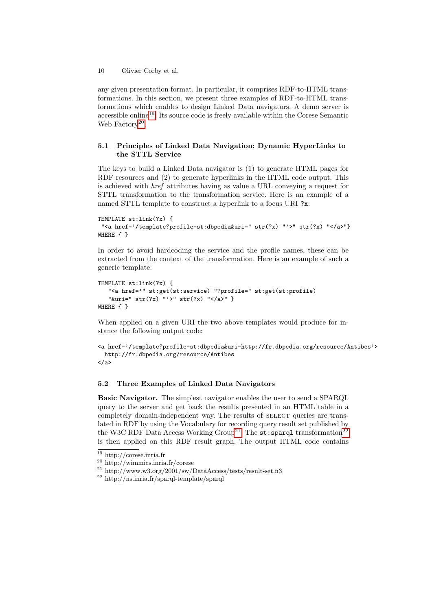any given presentation format. In particular, it comprises RDF-to-HTML transformations. In this section, we present three examples of RDF-to-HTML transformations which enables to design Linked Data navigators. A demo server is accessible online19. Its source code is freely available within the Corese Semantic Web Factory<sup>20</sup>.

## 5.1 Principles of Linked Data Navigation: Dynamic HyperLinks to the STTL Service

The keys to build a Linked Data navigator is (1) to generate HTML pages for RDF resources and (2) to generate hyperlinks in the HTML code output. This is achieved with href attributes having as value a URL conveying a request for STTL transformation to the transformation service. Here is an example of a named STTL template to construct a hyperlink to a focus URI ?x:

```
TEMPLATE st:link(?x) {
"<a href='/template?profile=st:dbpedia&uri=" str(?x) "'>" str(?x) "</a>"}
WHERE { }
```
In order to avoid hardcoding the service and the profile names, these can be extracted from the context of the transformation. Here is an example of such a generic template:

```
TEMPLATE st:link(?x) {
  "<a href='" st:get(st:service) "?profile=" st:get(st:profile)
  "&uri=" str(?x) "'>" str(?x) "</a>" }
WHERE { }
```
When applied on a given URI the two above templates would produce for instance the following output code:

```
<a href='/template?profile=st:dbpedia&uri=http://fr.dbpedia.org/resource/Antibes'>
 http://fr.dbpedia.org/resource/Antibes
</a>
```
#### 5.2 Three Examples of Linked Data Navigators

Basic Navigator. The simplest navigator enables the user to send a SPARQL query to the server and get back the results presented in an HTML table in a completely domain-independent way. The results of SELECT queries are translated in RDF by using the Vocabulary for recording query result set published by the W3C RDF Data Access Working Group<sup>21</sup>. The  $st:$ **sparql** transformation<sup>22</sup> is then applied on this RDF result graph. The output HTML code contains

 $19$  http://corese.inria.fr

<sup>20</sup> http://wimmics.inria.fr/corese

 $^{21}$ http://www.w3.org/2001/sw/DataAccess/tests/result-set.n3

<sup>22</sup> http://ns.inria.fr/sparql-template/sparql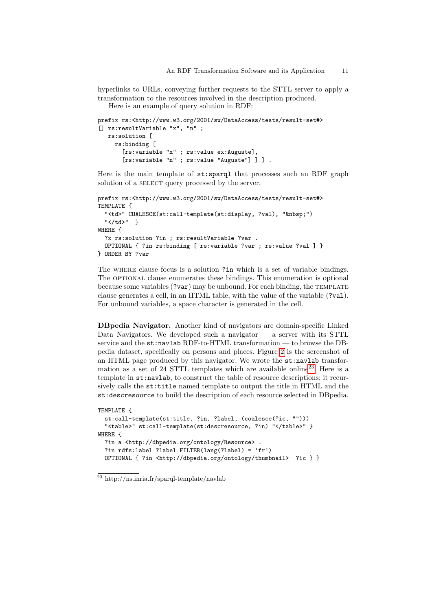hyperlinks to URLs, conveying further requests to the STTL server to apply a transformation to the resources involved in the description produced. Here is an example of query solution in RDF:

```
prefix rs:<http://www.w3.org/2001/sw/DataAccess/tests/result-set#>
[] rs:resultVariable "x", "n" ;
  rs:solution [
     rs:binding [
       [rs:variable "x" ; rs:value ex:Auguste],
       [rs:variable "n" ; rs:value "Auguste"] ] ] .
```
Here is the main template of st:sparql that processes such an RDF graph solution of a SELECT query processed by the server.

```
prefix rs:<http://www.w3.org/2001/sw/DataAccess/tests/result-set#>
TEMPLATE {
  "<td>" COALESCE(st:call-template(st:display, ?val), "&nbsp;")
 "</td>" }
WHERE {
 ?x rs:solution ?in ; rs:resultVariable ?var .
 OPTIONAL { ?in rs:binding [ rs:variable ?var ; rs:value ?val ] }
} ORDER BY ?var
```
The where clause focus is a solution ?in which is a set of variable bindings. The OPTIONAL clause enumerates these bindings. This enumeration is optional because some variables  $(?var)$  may be unbound. For each binding, the TEMPLATE clause generates a cell, in an HTML table, with the value of the variable (?val). For unbound variables, a space character is generated in the cell.

DBpedia Navigator. Another kind of navigators are domain-specific Linked Data Navigators. We developed such a navigator — a server with its STTL service and the st:navlab RDF-to-HTML transformation — to browse the DBpedia dataset, specifically on persons and places. Figure 2 is the screenshot of an HTML page produced by this navigator. We wrote the st:navlab transformation as a set of 24 STTL templates which are available online<sup>23</sup>. Here is a template in st:navlab, to construct the table of resource descriptions; it recursively calls the st:title named template to output the title in HTML and the st:descresource to build the description of each resource selected in DBpedia.

```
TEMPLATE {
 st:call-template(st:title, ?in, ?label, (coalesce(?ic, "")))
  "<table>" st:call-template(st:descresource, ?in) "</table>" }
WHERE {
 ?in a <http://dbpedia.org/ontology/Resource> .
 ?in rdfs:label ?label FILTER(lang(?label) = 'fr')
 OPTIONAL { ?in <http://dbpedia.org/ontology/thumbnail> ?ic } }
```
<sup>23</sup> http://ns.inria.fr/sparql-template/navlab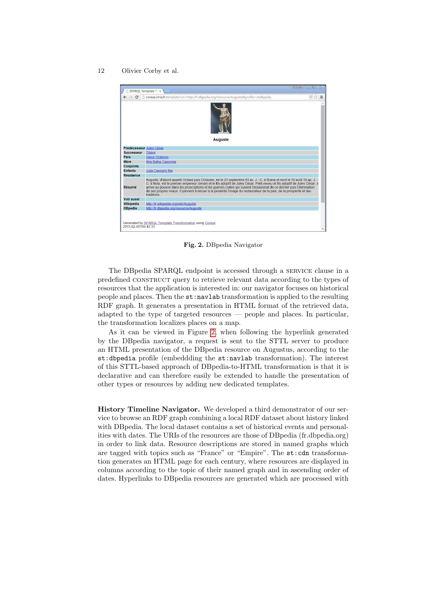

Fig. 2. DBpedia Navigator

The DBpedia SPARQL endpoint is accessed through a service clause in a predefined construct query to retrieve relevant data according to the types of resources that the application is interested in: our navigator focuses on historical people and places. Then the st:navlab transformation is applied to the resulting RDF graph. It generates a presentation in HTML format of the retrieved data, adapted to the type of targeted resources — people and places. In particular, the transformation localizes places on a map.

As it can be viewed in Figure 2, when following the hyperlink generated by the DBpedia navigator, a request is sent to the STTL server to produce an HTML presentation of the DBpedia resource on Augustus, according to the st:dbpedia profile (embeddding the st:navlab transformation). The interest of this STTL-based approach of DBpedia-to-HTML transformation is that it is declarative and can therefore easily be extended to handle the presentation of other types or resources by adding new dedicated templates.

History Timeline Navigator. We developed a third demonstrator of our service to browse an RDF graph combining a local RDF dataset about history linked with DBpedia. The local dataset contains a set of historical events and personalities with dates. The URIs of the resources are those of DBpedia (fr.dbpedia.org) in order to link data. Resource descriptions are stored in named graphs which are tagged with topics such as "France" or "Empire". The st:cdn transformation generates an HTML page for each century, where resources are displayed in columns according to the topic of their named graph and in ascending order of dates. Hyperlinks to DBpedia resources are generated which are processed with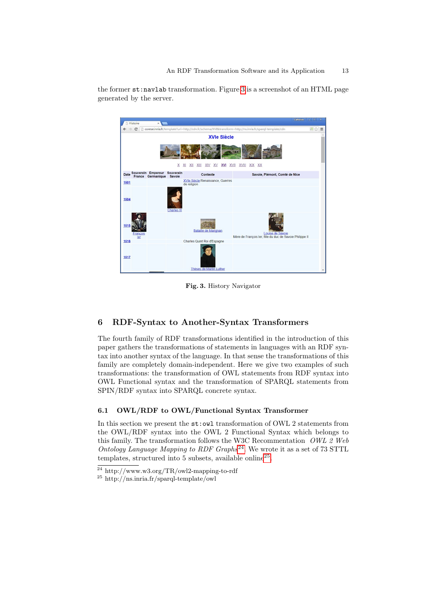

the former st:navlab transformation. Figure 3 is a screenshot of an HTML page generated by the server.

Fig. 3. History Navigator

# 6 RDF-Syntax to Another-Syntax Transformers

The fourth family of RDF transformations identified in the introduction of this paper gathers the transformations of statements in languages with an RDF syntax into another syntax of the language. In that sense the transformations of this family are completely domain-independent. Here we give two examples of such transformations: the transformation of OWL statements from RDF syntax into OWL Functional syntax and the transformation of SPARQL statements from SPIN/RDF syntax into SPARQL concrete syntax.

# 6.1 OWL/RDF to OWL/Functional Syntax Transformer

In this section we present the  $st:$  owl transformation of OWL 2 statements from the OWL/RDF syntax into the OWL 2 Functional Syntax which belongs to this family. The transformation follows the W3C Recommentation OWL 2 Web Ontology Language Mapping to RDF Graphs<sup>24</sup>. We wrote it as a set of 73 STTL templates, structured into 5 subsets, available online<sup>25</sup>.

<sup>24</sup> http://www.w3.org/TR/owl2-mapping-to-rdf

 $^{25}$ http://ns.inria.fr/sparql-template/owl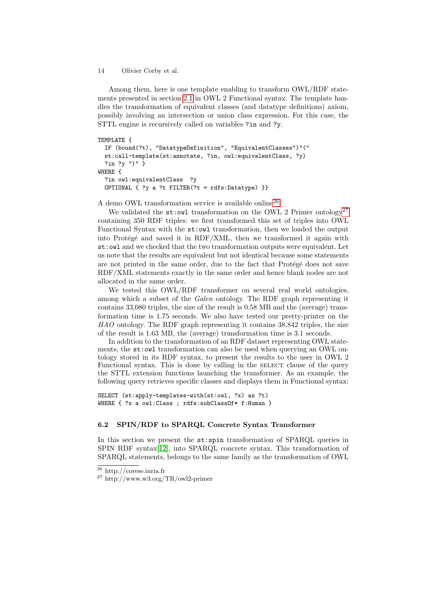Among them, here is one template enabling to transform OWL/RDF statements presented in section 2.1 in OWL 2 Functional syntax. The template handles the transformation of equivalent classes (and datatype definitions) axiom, possibly involving an intersection or union class expression. For this case, the STTL engine is recursively called on variables ?in and ?y.

```
TEMPLATE {
```

```
IF (bound(?t), "DatatypeDefinition", "EquivalentClasses")"("
  st:call-template(st:annotate, ?in, owl:equivalentClass, ?y)
  ?in ?y ")" }
WHERE {
  ?in owl:equivalentClass ?y
  OPTIONAL \{ ?y \text{ a ?t FILTER}(?t = rdfs:Datatype) \}
```
A demo OWL transformation service is available online<sup>26</sup>.

We validated the  $st:$  owl transformation on the OWL 2 Primer ontology<sup>27</sup> containing 350 RDF triples: we first transformed this set of triples into OWL Functional Syntax with the st:owl transformation, then we loaded the output into Protégé and saved it in  $RDF/XML$ , then we transformed it again with st:owl and we checked that the two transformation outputs were equivalent. Let us note that the results are equivalent but not identical because some statements are not printed in the same order, due to the fact that Protégé does not save RDF/XML statements exactly in the same order and hence blank nodes are not allocated in the same order.

We tested this OWL/RDF transformer on several real world ontologies, among which a subset of the Galen ontology. The RDF graph representing it contains 33,080 triples, the size of the result is 0.58 MB and the (average) transformation time is 1.75 seconds. We also have tested our pretty-printer on the HAO ontology. The RDF graph representing it contains 38,842 triples, the size of the result is 1.63 MB, the (average) transformation time is 3.1 seconds.

In addition to the transformation of an RDF dataset representing OWL statements, the st:owl transformation can also be used when querying an OWL ontology stored in its RDF syntax, to present the results to the user in OWL 2 Functional syntax. This is done by calling in the SELECT clause of the query the STTL extension functions launching the transformer. As an example, the following query retrieves specific classes and displays them in Functional syntax:

```
SELECT (st:apply-templates-with(st:owl, ?x) as ?t)
WHERE { ?x a owl:Class ; rdfs:subClassOf* f:Human }
```
#### 6.2 SPIN/RDF to SPARQL Concrete Syntax Transformer

In this section we present the st:spin transformation of SPARQL queries in SPIN RDF syntax[12], into SPARQL concrete syntax. This transformation of SPARQL statements, belongs to the same family as the transformation of OWL

 $\frac{26 \text{ http://corese.inria.fr}}{}$ 

<sup>27</sup> http://www.w3.org/TR/owl2-primer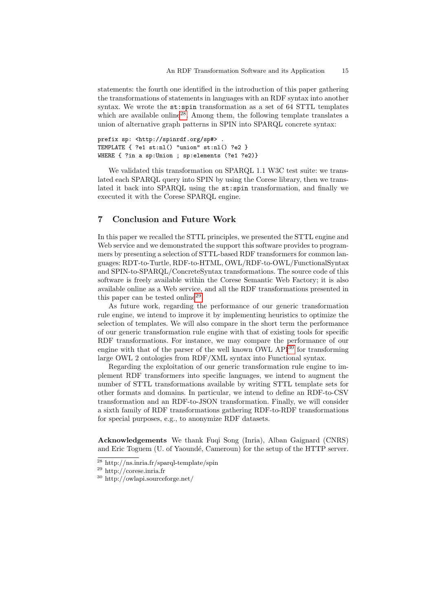statements: the fourth one identified in the introduction of this paper gathering the transformations of statements in languages with an RDF syntax into another syntax. We wrote the st:spin transformation as a set of 64 STTL templates which are available online<sup>28</sup>. Among them, the following template translates a union of alternative graph patterns in SPIN into SPARQL concrete syntax:

prefix sp: <http://spinrdf.org/sp#> . TEMPLATE { ?e1 st:nl() "union" st:nl() ?e2 } WHERE { ?in a sp: Union ; sp: elements (?e1 ?e2)}

We validated this transformation on SPARQL 1.1 W3C test suite: we translated each SPARQL query into SPIN by using the Corese library, then we translated it back into SPARQL using the st:spin transformation, and finally we executed it with the Corese SPARQL engine.

# 7 Conclusion and Future Work

In this paper we recalled the STTL principles, we presented the STTL engine and Web service and we demonstrated the support this software provides to programmers by presenting a selection of STTL-based RDF transformers for common languages: RDT-to-Turtle, RDF-to-HTML, OWL/RDF-to-OWL/FunctionalSyntax and SPIN-to-SPARQL/ConcreteSyntax transformations. The source code of this software is freely available within the Corese Semantic Web Factory; it is also available online as a Web service, and all the RDF transformations presented in this paper can be tested online<sup>29</sup>.

As future work, regarding the performance of our generic transformation rule engine, we intend to improve it by implementing heuristics to optimize the selection of templates. We will also compare in the short term the performance of our generic transformation rule engine with that of existing tools for specific RDF transformations. For instance, we may compare the performance of our engine with that of the parser of the well known OWL  $API^{30}$  for transforming large OWL 2 ontologies from RDF/XML syntax into Functional syntax.

Regarding the exploitation of our generic transformation rule engine to implement RDF transformers into specific languages, we intend to augment the number of STTL transformations available by writing STTL template sets for other formats and domains. In particular, we intend to define an RDF-to-CSV transformation and an RDF-to-JSON transformation. Finally, we will consider a sixth family of RDF transformations gathering RDF-to-RDF transformations for special purposes, e.g., to anonymize RDF datasets.

Acknowledgements We thank Fuqi Song (Inria), Alban Gaignard (CNRS) and Eric Toguem (U. of Yaoundé, Cameroun) for the setup of the HTTP server.

<sup>28</sup> http://ns.inria.fr/sparql-template/spin

<sup>29</sup> http://corese.inria.fr

<sup>30</sup> http://owlapi.sourceforge.net/